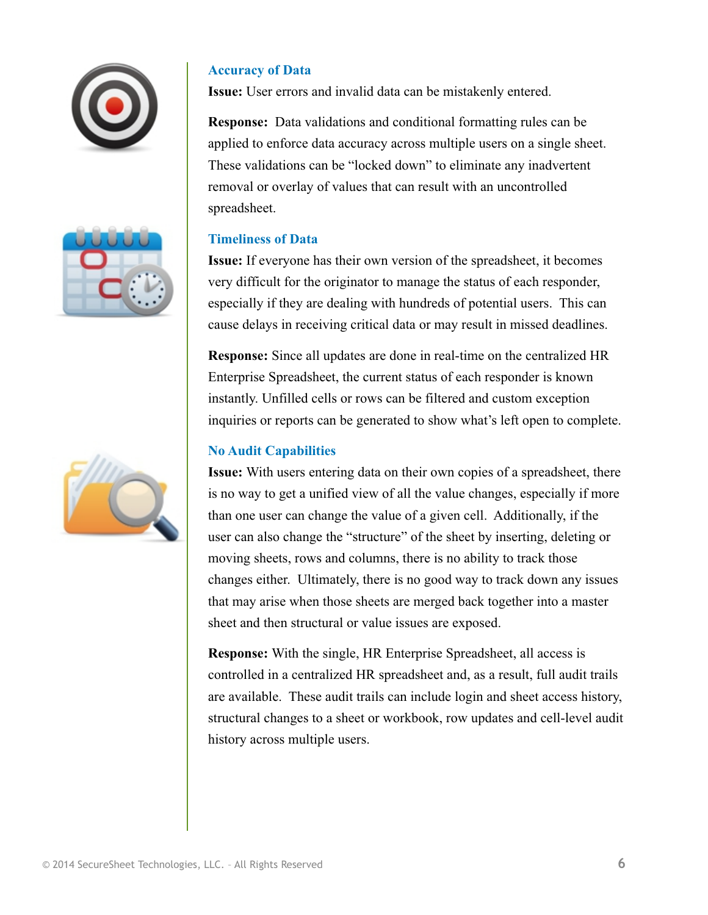

#### **Accuracy of Data**

**Issue:** User errors and invalid data can be mistakenly entered.

**Response:** Data validations and conditional formatting rules can be applied to enforce data accuracy across multiple users on a single sheet. These validations can be "locked down" to eliminate any inadvertent removal or overlay of values that can result with an uncontrolled spreadsheet.

#### **Timeliness of Data**

**Issue:** If everyone has their own version of the spreadsheet, it becomes very difficult for the originator to manage the status of each responder, especially if they are dealing with hundreds of potential users. This can cause delays in receiving critical data or may result in missed deadlines.

**Response:** Since all updates are done in real-time on the centralized  $XWRPDWHG$  RPSH VDWLRthe current status and status of example status of  $R$ responder is known instantly. Unfilled cells or rows can be filtered and custom exception inquiries or reports can be generated to show what's left open to complete.

#### **No Audit Capabilities**

**Issue:** With users entering data on their own copies of a spreadsheet, there is no way to get a unified view of all the value changes, especially if more than one user can change the value of a given cell. Additionally, if the user can also change the "structure" of the sheet by inserting, deleting or moving sheets, rows and columns, there is no ability to track those changes either. Ultimately, there is no good way to track down any issues that may arise when those sheets are merged back together into a master sheet and then structural or value issues are exposed.

**Response:** With the single,  $XWRPDWHG$  RPSH VDWLRall SUHDGVKH access is controlled in a centralized RPSH VDWLR and Hang GVKHHW result, full audit trails are available. These audit trails can include login and sheet access history, structural changes to a sheet or workbook, row updates and cell-level audit history across multiple users.

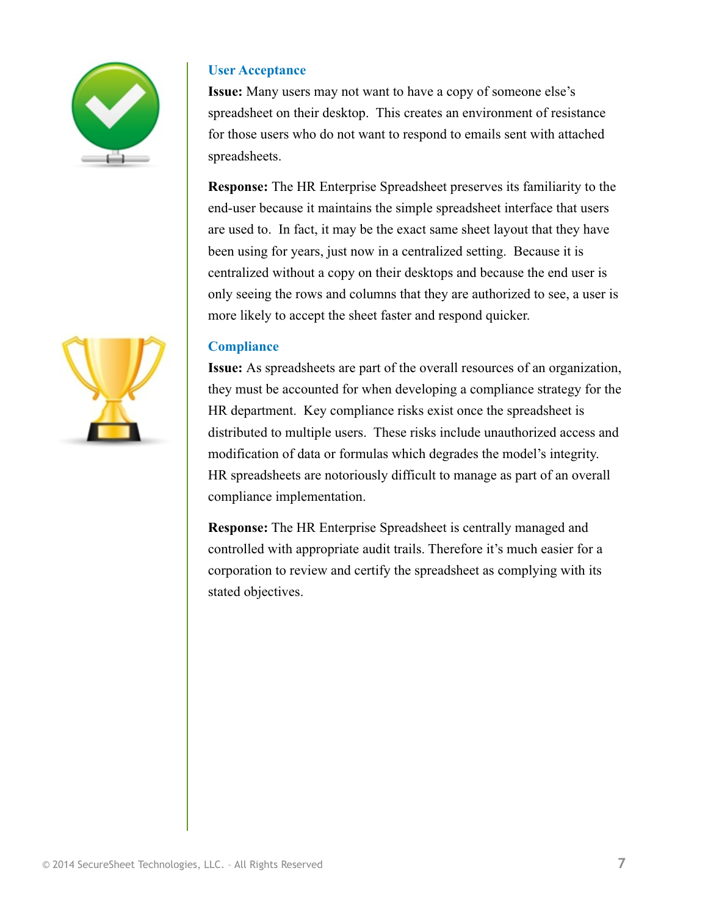

#### **User Acceptance**

**Issue:** Many users may not want to have a copy of someone else's spreadsheet on their desktop. This creates an environment of resistance for those users who do not want to respond to emails sent with attached spreadsheets.

**Response:** The Automated Compensation Spreadsheet preserves its familiarity to the end-user because it maintains the simple spreadsheet interface that users are used to. In fact, it may be the exact same sheet layout that they have been using for years, just now in a centralized setting. Because it is centralized without a copy on their desktops and because the end user is only seeing the rows and columns that they are authorized to see, a user is more likely to accept the sheet faster and respond quicker.

#### **Compliance**

**Issue:** As spreadsheets are part of the overall resources of an organization, they must be accounted for when developing a compliance strategy for the HR department. Key compliance risks exist once the spreadsheet is distributed to multiple users. These risks include unauthorized access and modification of data or formulas which degrades the model's integrity. HR spreadsheets are notoriously difficult to manage as part of an overall compliance implementation.

**Response:** The Automated Compensation Spreadsheet is centrally managed and controlled with appropriate audit trails. Therefore it's much easier for a corporation to review and certify the spreadsheet as complying with its stated objectives.

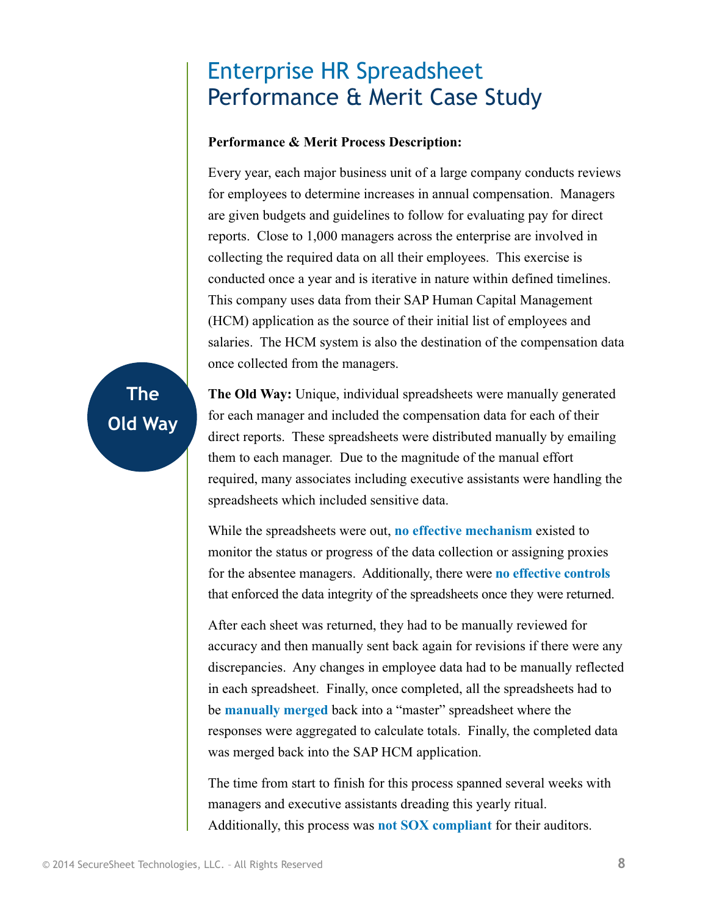## Enterprise Compensation Spreadsheet Performance & Merit Case Study

#### **Performance & Merit Process Description:**

Every year, each major business unit of a large company conducts reviews for employees to determine increases in annual compensation. Managers are given budgets and guidelines to follow for evaluating pay for direct reports. Close to 1,000 managers across the enterprise are involved in collecting the required data on all their employees. This exercise is conducted once a year and is iterative in nature within defined timelines. This company uses data from their SAP Human Capital Management (HCM) application as the source of their initial list of employees and salaries. The HCM system is also the destination of the compensation data once collected from the managers.

# **The Old Way**

**The Old Way:** Unique, individual spreadsheets were manually generated for each manager and included the compensation data for each of their direct reports. These spreadsheets were distributed manually by emailing them to each manager. Due to the magnitude of the manual effort required, many associates including executive assistants were handling the spreadsheets which included sensitive data.

While the spreadsheets were out, **no effective mechanism** existed to monitor the status or progress of the data collection or assigning proxies for the absentee managers. Additionally, there were **no effective controls**  that enforced the data integrity of the spreadsheets once they were returned.

After each sheet was returned, they had to be manually reviewed for accuracy and then manually sent back again for revisions if there were any discrepancies. Any changes in employee data had to be manually reflected in each spreadsheet. Finally, once completed, all the spreadsheets had to be **manually merged** back into a "master" spreadsheet where the responses were aggregated to calculate totals. Finally, the completed data was merged back into the SAP HCM application.

The time from start to finish for this process spanned several weeks with managers and executive assistants dreading this yearly ritual. Additionally, this process was **not SOX compliant** for their auditors.